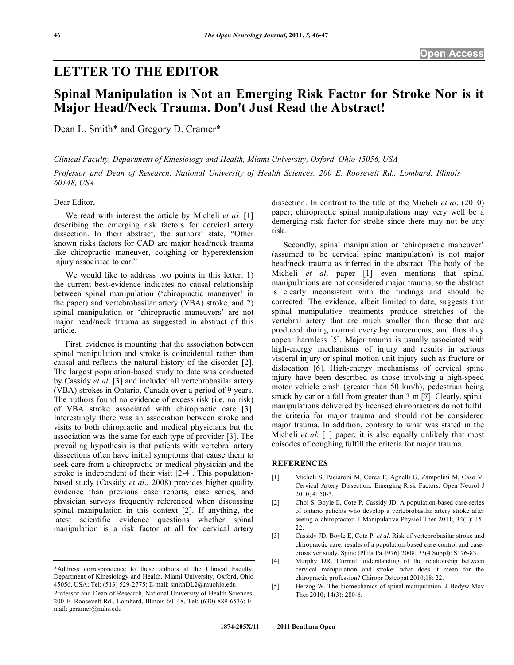## **LETTER TO THE EDITOR**

# **Spinal Manipulation is Not an Emerging Risk Factor for Stroke Nor is it Major Head/Neck Trauma. Don't Just Read the Abstract!**

Dean L. Smith\* and Gregory D. Cramer\*

*Clinical Faculty, Department of Kinesiology and Health, Miami University, Oxford, Ohio 45056, USA* 

*Professor and Dean of Research, National University of Health Sciences, 200 E. Roosevelt Rd., Lombard, Illinois 60148, USA* 

### Dear Editor,

 We read with interest the article by Micheli *et al.* [1] describing the emerging risk factors for cervical artery dissection. In their abstract, the authors' state, "Other known risks factors for CAD are major head/neck trauma like chiropractic maneuver, coughing or hyperextension injury associated to car."

 We would like to address two points in this letter: 1) the current best-evidence indicates no causal relationship between spinal manipulation ('chiropractic maneuver' in the paper) and vertebrobasilar artery (VBA) stroke, and 2) spinal manipulation or 'chiropractic maneuvers' are not major head/neck trauma as suggested in abstract of this article.

 First, evidence is mounting that the association between spinal manipulation and stroke is coincidental rather than causal and reflects the natural history of the disorder [2]. The largest population-based study to date was conducted by Cassidy *et al*. [3] and included all vertebrobasilar artery (VBA) strokes in Ontario, Canada over a period of 9 years. The authors found no evidence of excess risk (i.e. no risk) of VBA stroke associated with chiropractic care [3]. Interestingly there was an association between stroke and visits to both chiropractic and medical physicians but the association was the same for each type of provider [3]. The prevailing hypothesis is that patients with vertebral artery dissections often have initial symptoms that cause them to seek care from a chiropractic or medical physician and the stroke is independent of their visit [2-4]. This populationbased study (Cassidy *et al*., 2008) provides higher quality evidence than previous case reports, case series, and physician surveys frequently referenced when discussing spinal manipulation in this context [2]. If anything, the latest scientific evidence questions whether spinal manipulation is a risk factor at all for cervical artery

dissection. In contrast to the title of the Micheli *et al*. (2010) paper, chiropractic spinal manipulations may very well be a demerging risk factor for stroke since there may not be any risk.

 Secondly, spinal manipulation or 'chiropractic maneuver' (assumed to be cervical spine manipulation) is not major head/neck trauma as inferred in the abstract. The body of the Micheli *et al*. paper [1] even mentions that spinal manipulations are not considered major trauma, so the abstract is clearly inconsistent with the findings and should be corrected. The evidence, albeit limited to date, suggests that spinal manipulative treatments produce stretches of the vertebral artery that are much smaller than those that are produced during normal everyday movements, and thus they appear harmless [5]. Major trauma is usually associated with high-energy mechanisms of injury and results in serious visceral injury or spinal motion unit injury such as fracture or dislocation [6]. High-energy mechanisms of cervical spine injury have been described as those involving a high-speed motor vehicle crash (greater than 50 km/h), pedestrian being struck by car or a fall from greater than 3 m [7]. Clearly, spinal manipulations delivered by licensed chiropractors do not fulfill the criteria for major trauma and should not be considered major trauma. In addition, contrary to what was stated in the Micheli *et al.* [1] paper, it is also equally unlikely that most episodes of coughing fulfill the criteria for major trauma.

#### **REFERENCES**

- [1] Micheli S, Paciaroni M, Corea F, Agnelli G, Zampolini M, Caso V. Cervical Artery Dissection: Emerging Risk Factors. Open Neurol J 2010; 4: 50-5.
- [2] Choi S, Boyle E, Cote P, Cassidy JD. A population-based case-series of ontario patients who develop a vertebrobasilar artery stroke after seeing a chiropractor. J Manipulative Physiol Ther 2011; 34(1): 15- 22.
- [3] Cassidy JD, Boyle E, Cote P, *et al*. Risk of vertebrobasilar stroke and chiropractic care: results of a population-based case-control and casecrossover study. Spine (Phila Pa 1976) 2008; 33(4 Suppl): S176-83.
- [4] Murphy DR. Current understanding of the relationship between cervical manipulation and stroke: what does it mean for the chiropractic profession? Chiropr Osteopat 2010;18: 22.
- [5] Herzog W. The biomechanics of spinal manipulation. J Bodyw Mov Ther 2010; 14(3): 280-6.

<sup>\*</sup>Address correspondence to these authors at the Clinical Faculty, Department of Kinesiology and Health, Miami University, Oxford, Ohio 45056, USA; Tel: (513) 529-2775; E-mail: smithDL2@muohio.edu

Professor and Dean of Research, National University of Health Sciences, 200 E. Roosevelt Rd., Lombard, Illinois 60148, Tel: (630) 889-6536; Email: gcramer@nuhs.edu